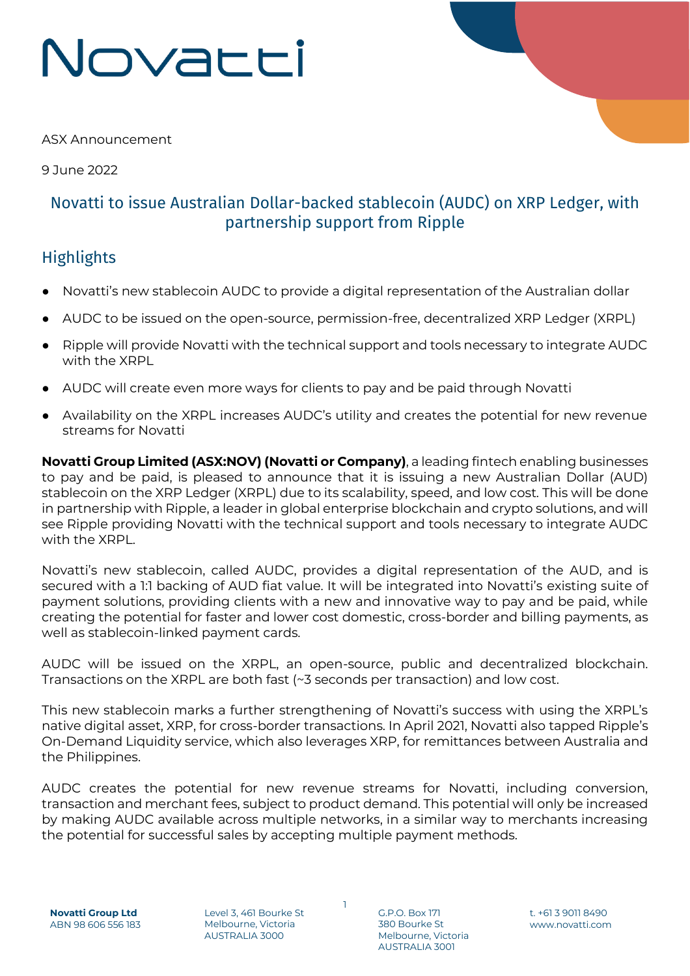## Novacci

ASX Announcement

9 June 2022

## Novatti to issue Australian Dollar-backed stablecoin (AUDC) on XRP Ledger, with partnership support from Ripple

## **Highlights**

- Novatti's new stablecoin AUDC to provide a digital representation of the Australian dollar
- AUDC to be issued on the open-source, permission-free, decentralized XRP Ledger (XRPL)
- Ripple will provide Novatti with the technical support and tools necessary to integrate AUDC with the XRPL
- AUDC will create even more ways for clients to pay and be paid through Novatti
- Availability on the XRPL increases AUDC's utility and creates the potential for new revenue streams for Novatti

**Novatti Group Limited (ASX:NOV) (Novatti or Company)**, a leading fintech enabling businesses to pay and be paid, is pleased to announce that it is issuing a new Australian Dollar (AUD) stablecoin on the XRP Ledger (XRPL) due to its scalability, speed, and low cost. This will be done in partnership with Ripple, a leader in global enterprise blockchain and crypto solutions, and will see Ripple providing Novatti with the technical support and tools necessary to integrate AUDC with the XRPL.

Novatti's new stablecoin, called AUDC, provides a digital representation of the AUD, and is secured with a 1:1 backing of AUD fiat value. It will be integrated into Novatti's existing suite of payment solutions, providing clients with a new and innovative way to pay and be paid, while creating the potential for faster and lower cost domestic, cross-border and billing payments, as well as stablecoin-linked payment cards.

AUDC will be issued on the XRPL, an open-source, public and decentralized blockchain. Transactions on the XRPL are both fast (~3 seconds per transaction) and low cost.

This new stablecoin marks a further strengthening of Novatti's success with using the XRPL's native digital asset, XRP, for cross-border transactions. In April 2021, Novatti also tapped Ripple's On-Demand Liquidity service, which also leverages XRP, for remittances between Australia and the Philippines.

AUDC creates the potential for new revenue streams for Novatti, including conversion, transaction and merchant fees, subject to product demand. This potential will only be increased by making AUDC available across multiple networks, in a similar way to merchants increasing the potential for successful sales by accepting multiple payment methods.

1

Level 3, 461 Bourke St Melbourne, Victoria AUSTRALIA 3000

G.P.O. Box 171 380 Bourke St Melbourne, Victoria AUSTRALIA 3001

t. +61 3 9011 8490 www.novatti.com